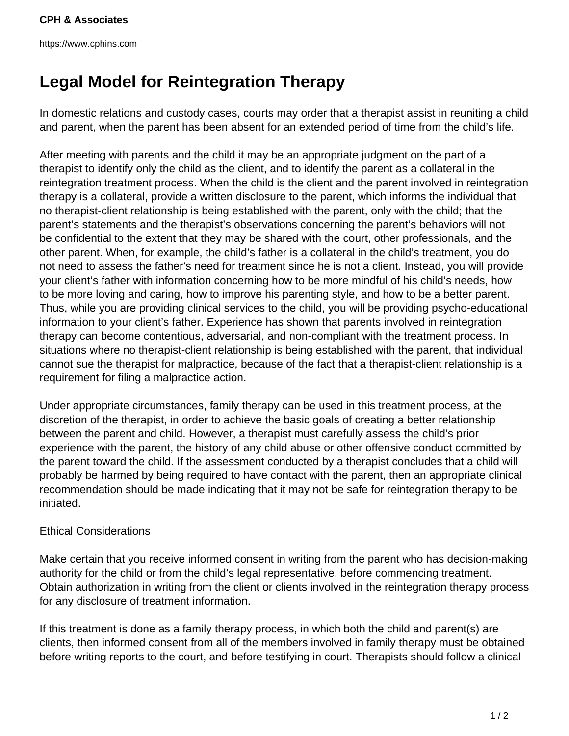https://www.cphins.com

## **Legal Model for Reintegration Therapy**

In domestic relations and custody cases, courts may order that a therapist assist in reuniting a child and parent, when the parent has been absent for an extended period of time from the child's life.

After meeting with parents and the child it may be an appropriate judgment on the part of a therapist to identify only the child as the client, and to identify the parent as a collateral in the reintegration treatment process. When the child is the client and the parent involved in reintegration therapy is a collateral, provide a written disclosure to the parent, which informs the individual that no therapist-client relationship is being established with the parent, only with the child; that the parent's statements and the therapist's observations concerning the parent's behaviors will not be confidential to the extent that they may be shared with the court, other professionals, and the other parent. When, for example, the child's father is a collateral in the child's treatment, you do not need to assess the father's need for treatment since he is not a client. Instead, you will provide your client's father with information concerning how to be more mindful of his child's needs, how to be more loving and caring, how to improve his parenting style, and how to be a better parent. Thus, while you are providing clinical services to the child, you will be providing psycho-educational information to your client's father. Experience has shown that parents involved in reintegration therapy can become contentious, adversarial, and non-compliant with the treatment process. In situations where no therapist-client relationship is being established with the parent, that individual cannot sue the therapist for malpractice, because of the fact that a therapist-client relationship is a requirement for filing a malpractice action.

Under appropriate circumstances, family therapy can be used in this treatment process, at the discretion of the therapist, in order to achieve the basic goals of creating a better relationship between the parent and child. However, a therapist must carefully assess the child's prior experience with the parent, the history of any child abuse or other offensive conduct committed by the parent toward the child. If the assessment conducted by a therapist concludes that a child will probably be harmed by being required to have contact with the parent, then an appropriate clinical recommendation should be made indicating that it may not be safe for reintegration therapy to be initiated.

## Ethical Considerations

Make certain that you receive informed consent in writing from the parent who has decision-making authority for the child or from the child's legal representative, before commencing treatment. Obtain authorization in writing from the client or clients involved in the reintegration therapy process for any disclosure of treatment information.

If this treatment is done as a family therapy process, in which both the child and parent(s) are clients, then informed consent from all of the members involved in family therapy must be obtained before writing reports to the court, and before testifying in court. Therapists should follow a clinical